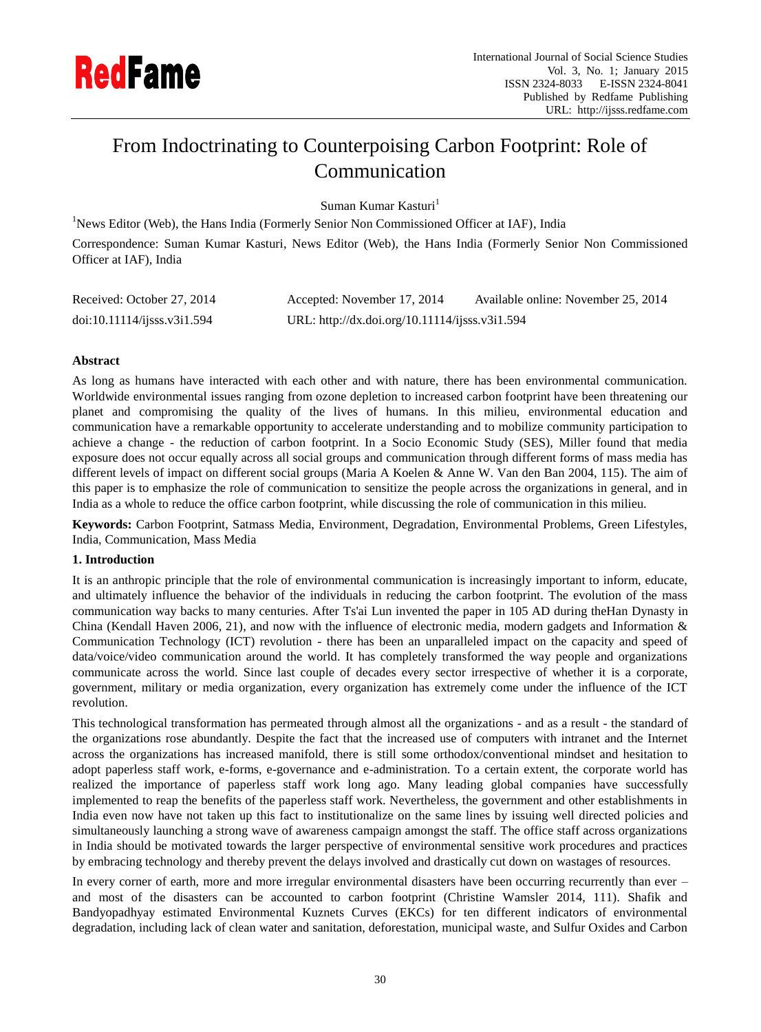

# From Indoctrinating to Counterpoising Carbon Footprint: Role of Communication

Suman Kumar Kasturi<sup>1</sup>

<sup>1</sup>News Editor (Web), the Hans India (Formerly Senior Non Commissioned Officer at IAF), India Correspondence: Suman Kumar Kasturi, News Editor (Web), the Hans India (Formerly Senior Non Commissioned Officer at IAF), India

| Received: October 27, 2014 | Accepted: November 17, 2014                    | Available online: November 25, 2014 |
|----------------------------|------------------------------------------------|-------------------------------------|
| doi:10.11114/j5ss.v3i1.594 | URL: http://dx.doi.org/10.11114/ijsss.v3i1.594 |                                     |

# **Abstract**

As long as humans have interacted with each other and with nature, there has been environmental communication. Worldwide environmental issues ranging from ozone depletion to increased carbon footprint have been threatening our planet and compromising the quality of the lives of humans. In this milieu, environmental education and communication have a remarkable opportunity to accelerate understanding and to mobilize community participation to achieve a change - the reduction of carbon footprint. In a Socio Economic Study (SES), Miller found that media exposure does not occur equally across all social groups and communication through different forms of mass media has different levels of impact on different social groups (Maria A Koelen & Anne W. Van den Ban 2004, 115). The aim of this paper is to emphasize the role of communication to sensitize the people across the organizations in general, and in India as a whole to reduce the office carbon footprint, while discussing the role of communication in this milieu.

**Keywords:** Carbon Footprint, Satmass Media, Environment, Degradation, Environmental Problems, Green Lifestyles, India, Communication, Mass Media

## **1. Introduction**

It is an anthropic principle that the role of environmental communication is increasingly important to inform, educate, and ultimately influence the behavior of the individuals in reducing the carbon footprint. The evolution of the mass communication way backs to many centuries. After Ts'ai Lun invented the paper in 105 AD during theHan Dynasty in China (Kendall Haven 2006, 21), and now with the influence of electronic media, modern gadgets and Information & Communication Technology (ICT) revolution - there has been an unparalleled impact on the capacity and speed of data/voice/video communication around the world. It has completely transformed the way people and organizations communicate across the world. Since last couple of decades every sector irrespective of whether it is a corporate, government, military or media organization, every organization has extremely come under the influence of the ICT revolution.

This technological transformation has permeated through almost all the organizations - and as a result - the standard of the organizations rose abundantly. Despite the fact that the increased use of computers with intranet and the Internet across the organizations has increased manifold, there is still some orthodox/conventional mindset and hesitation to adopt paperless staff work, e-forms, e-governance and e-administration. To a certain extent, the corporate world has realized the importance of paperless staff work long ago. Many leading global companies have successfully implemented to reap the benefits of the paperless staff work. Nevertheless, the government and other establishments in India even now have not taken up this fact to institutionalize on the same lines by issuing well directed policies and simultaneously launching a strong wave of awareness campaign amongst the staff. The office staff across organizations in India should be motivated towards the larger perspective of environmental sensitive work procedures and practices by embracing technology and thereby prevent the delays involved and drastically cut down on wastages of resources.

In every corner of earth, more and more irregular environmental disasters have been occurring recurrently than ever – and most of the disasters can be accounted to carbon footprint (Christine Wamsler 2014, 111). Shafik and Bandyopadhyay estimated Environmental Kuznets Curves (EKCs) for ten different indicators of environmental degradation, including lack of clean water and sanitation, deforestation, municipal waste, and Sulfur Oxides and Carbon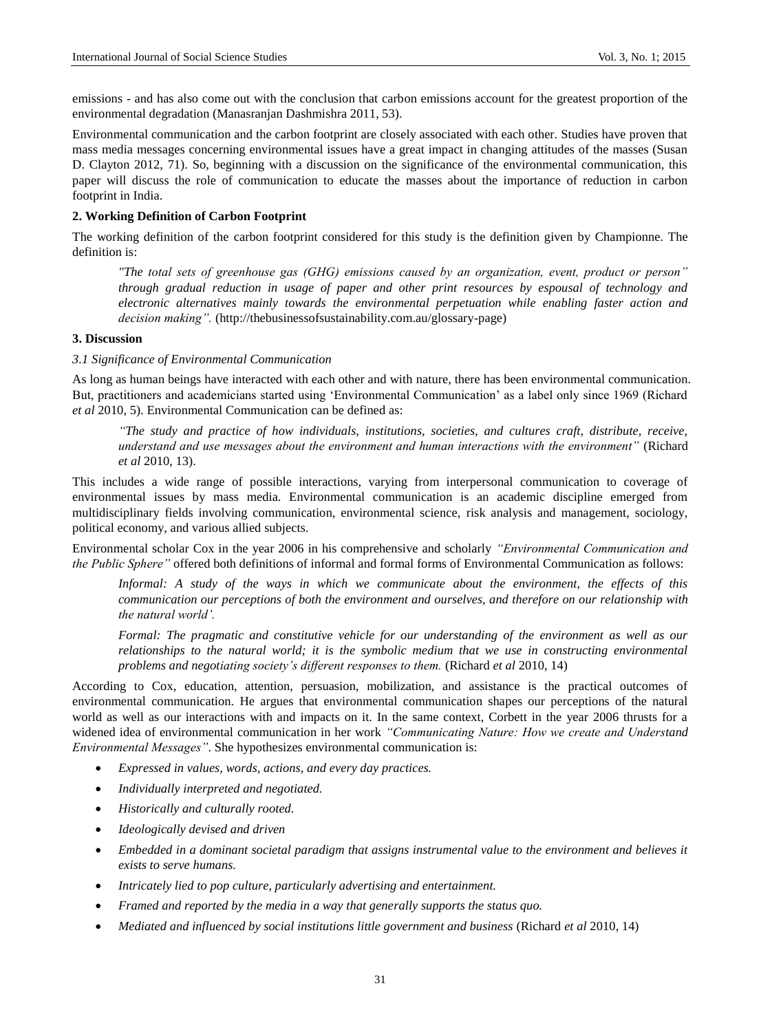emissions - and has also come out with the conclusion that carbon emissions account for the greatest proportion of the environmental degradation (Manasranjan Dashmishra 2011, 53).

Environmental communication and the carbon footprint are closely associated with each other. Studies have proven that mass media messages concerning environmental issues have a great impact in changing attitudes of the masses (Susan D. Clayton 2012, 71). So, beginning with a discussion on the significance of the environmental communication, this paper will discuss the role of communication to educate the masses about the importance of reduction in carbon footprint in India.

## **2. Working Definition of Carbon Footprint**

The working definition of the carbon footprint considered for this study is the definition given by Championne. The definition is:

*"The total sets of greenhouse gas (GHG) emissions caused by an organization, event, product or person" through gradual reduction in usage of paper and other print resources by espousal of technology and electronic alternatives mainly towards the environmental perpetuation while enabling faster action and decision making".* (http://thebusinessofsustainability.com.au/glossary-page)

# **3. Discussion**

## *3.1 Significance of Environmental Communication*

As long as human beings have interacted with each other and with nature, there has been environmental communication. But, practitioners and academicians started using 'Environmental Communication' as a label only since 1969 (Richard *et al* 2010, 5). Environmental Communication can be defined as:

*"The study and practice of how individuals, institutions, societies, and cultures craft, distribute, receive, understand and use messages about the environment and human interactions with the environment"* (Richard *et al* 2010, 13).

This includes a wide range of possible interactions, varying from interpersonal communication to coverage of environmental issues by mass media. Environmental communication is an academic discipline emerged from multidisciplinary fields involving communication, environmental science, risk analysis and management, sociology, political economy, and various allied subjects.

Environmental scholar Cox in the year 2006 in his comprehensive and scholarly *"Environmental Communication and the Public Sphere"* offered both definitions of informal and formal forms of Environmental Communication as follows:

*Informal: A study of the ways in which we communicate about the environment, the effects of this communication our perceptions of both the environment and ourselves, and therefore on our relationship with the natural world'.*

*Formal: The pragmatic and constitutive vehicle for our understanding of the environment as well as our relationships to the natural world; it is the symbolic medium that we use in constructing environmental problems and negotiating society's different responses to them.* (Richard *et al* 2010, 14)

According to Cox, education, attention, persuasion, mobilization, and assistance is the practical outcomes of environmental communication. He argues that environmental communication shapes our perceptions of the natural world as well as our interactions with and impacts on it. In the same context, Corbett in the year 2006 thrusts for a widened idea of environmental communication in her work *"Communicating Nature: How we create and Understand Environmental Messages"*. She hypothesizes environmental communication is:

- *Expressed in values, words, actions, and every day practices.*
- *Individually interpreted and negotiated.*
- *Historically and culturally rooted.*
- *Ideologically devised and driven*
- *Embedded in a dominant societal paradigm that assigns instrumental value to the environment and believes it exists to serve humans.*
- *Intricately lied to pop culture, particularly advertising and entertainment.*
- *Framed and reported by the media in a way that generally supports the status quo.*
- *Mediated and influenced by social institutions little government and business* (Richard *et al* 2010, 14)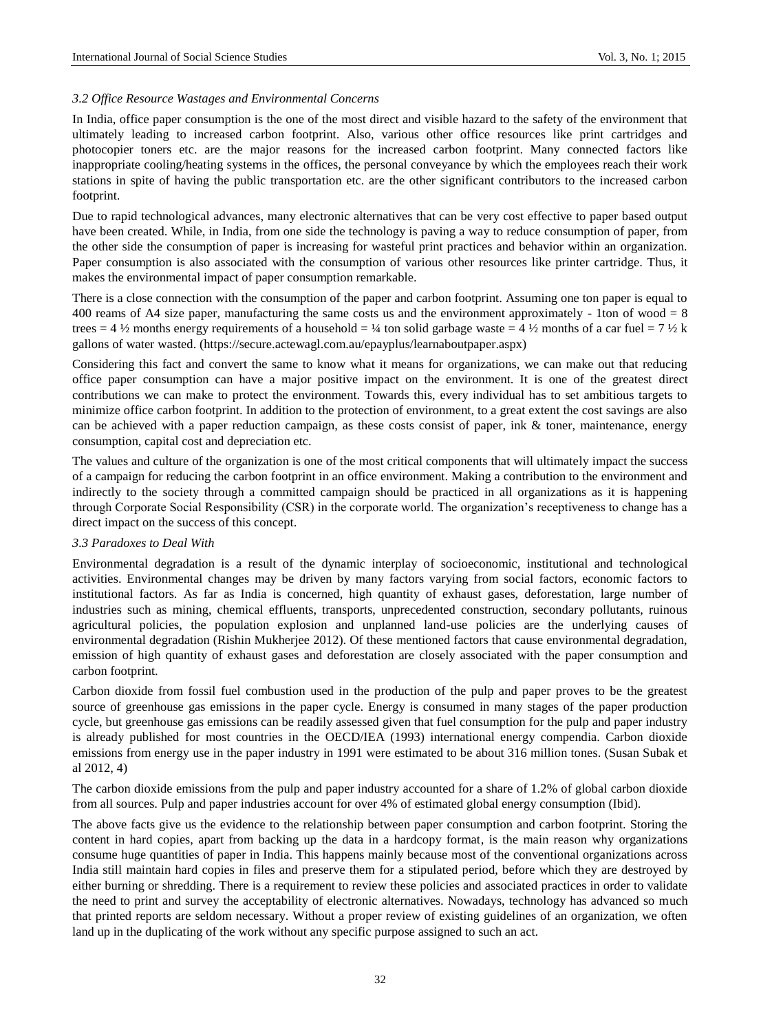## *3.2 Office Resource Wastages and Environmental Concerns*

In India, office paper consumption is the one of the most direct and visible hazard to the safety of the environment that ultimately leading to increased carbon footprint. Also, various other office resources like print cartridges and photocopier toners etc. are the major reasons for the increased carbon footprint. Many connected factors like inappropriate cooling/heating systems in the offices, the personal conveyance by which the employees reach their work stations in spite of having the public transportation etc. are the other significant contributors to the increased carbon footprint.

Due to rapid technological advances, many electronic alternatives that can be very cost effective to paper based output have been created. While, in India, from one side the technology is paving a way to reduce consumption of paper, from the other side the consumption of paper is increasing for wasteful print practices and behavior within an organization. Paper consumption is also associated with the consumption of various other resources like printer cartridge. Thus, it makes the environmental impact of paper consumption remarkable.

There is a close connection with the consumption of the paper and carbon footprint. Assuming one ton paper is equal to 400 reams of A4 size paper, manufacturing the same costs us and the environment approximately - 1ton of wood = 8 trees = 4  $\frac{1}{2}$  months energy requirements of a household =  $\frac{1}{4}$  ton solid garbage waste = 4  $\frac{1}{2}$  months of a car fuel = 7  $\frac{1}{2}$  k gallons of water wasted. (https://secure.actewagl.com.au/epayplus/learnaboutpaper.aspx)

Considering this fact and convert the same to know what it means for organizations, we can make out that reducing office paper consumption can have a major positive impact on the environment. It is one of the greatest direct contributions we can make to protect the environment. Towards this, every individual has to set ambitious targets to minimize office carbon footprint. In addition to the protection of environment, to a great extent the cost savings are also can be achieved with a paper reduction campaign, as these costs consist of paper, ink & toner, maintenance, energy consumption, capital cost and depreciation etc.

The values and culture of the organization is one of the most critical components that will ultimately impact the success of a campaign for reducing the carbon footprint in an office environment. Making a contribution to the environment and indirectly to the society through a committed campaign should be practiced in all organizations as it is happening through Corporate Social Responsibility (CSR) in the corporate world. The organization"s receptiveness to change has a direct impact on the success of this concept.

#### *3.3 Paradoxes to Deal With*

Environmental degradation is a result of the dynamic interplay of socioeconomic, institutional and technological activities. Environmental changes may be driven by many factors varying from social factors, economic factors to institutional factors. As far as India is concerned, high quantity of exhaust gases, deforestation, large number of industries such as mining, chemical effluents, transports, unprecedented construction, secondary pollutants, ruinous agricultural policies, the population explosion and unplanned land-use policies are the underlying causes of environmental degradation (Rishin Mukherjee 2012). Of these mentioned factors that cause environmental degradation, emission of high quantity of exhaust gases and deforestation are closely associated with the paper consumption and carbon footprint.

Carbon dioxide from fossil fuel combustion used in the production of the pulp and paper proves to be the greatest source of greenhouse gas emissions in the paper cycle. Energy is consumed in many stages of the paper production cycle, but greenhouse gas emissions can be readily assessed given that fuel consumption for the pulp and paper industry is already published for most countries in the OECD/IEA (1993) international energy compendia. Carbon dioxide emissions from energy use in the paper industry in 1991 were estimated to be about 316 million tones. (Susan Subak et al 2012, 4)

The carbon dioxide emissions from the pulp and paper industry accounted for a share of 1.2% of global carbon dioxide from all sources. Pulp and paper industries account for over 4% of estimated global energy consumption (Ibid).

The above facts give us the evidence to the relationship between paper consumption and carbon footprint. Storing the content in hard copies, apart from backing up the data in a hardcopy format, is the main reason why organizations consume huge quantities of paper in India. This happens mainly because most of the conventional organizations across India still maintain hard copies in files and preserve them for a stipulated period, before which they are destroyed by either burning or shredding. There is a requirement to review these policies and associated practices in order to validate the need to print and survey the acceptability of electronic alternatives. Nowadays, technology has advanced so much that printed reports are seldom necessary. Without a proper review of existing guidelines of an organization, we often land up in the duplicating of the work without any specific purpose assigned to such an act.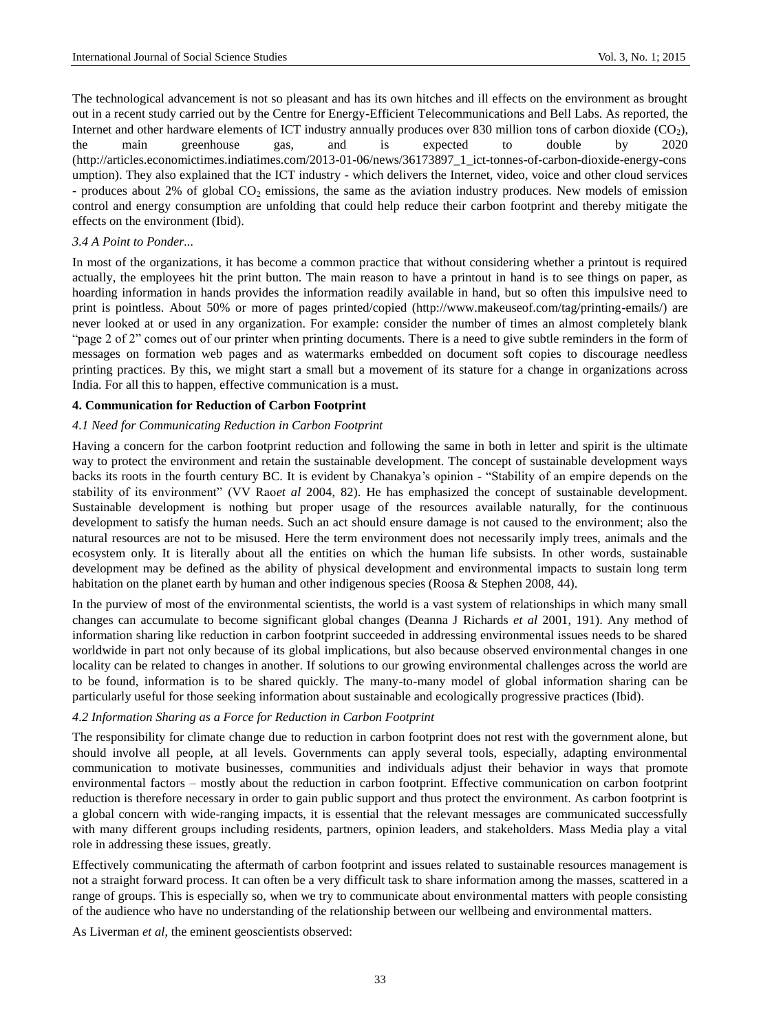The technological advancement is not so pleasant and has its own hitches and ill effects on the environment as brought out in a recent study carried out by the Centre for Energy-Efficient Telecommunications and Bell Labs. As reported, the Internet and other hardware elements of ICT industry annually produces over 830 million tons of carbon dioxide (CO<sub>2</sub>), the main greenhouse gas, and is expected to double by 2020 (http://articles.economictimes.indiatimes.com/2013-01-06/news/36173897\_1\_ict-tonnes-of-carbon-dioxide-energy-cons umption). They also explained that the ICT industry - which delivers the Internet, video, voice and other cloud services - produces about 2% of global  $CO<sub>2</sub>$  emissions, the same as the aviation industry produces. New models of emission control and energy consumption are unfolding that could help reduce their carbon footprint and thereby mitigate the effects on the environment (Ibid).

#### *3.4 A Point to Ponder...*

In most of the organizations, it has become a common practice that without considering whether a printout is required actually, the employees hit the print button. The main reason to have a printout in hand is to see things on paper, as hoarding information in hands provides the information readily available in hand, but so often this impulsive need to print is pointless. About 50% or more of pages printed/copied (http://www.makeuseof.com/tag/printing-emails/) are never looked at or used in any organization. For example: consider the number of times an almost completely blank "page 2 of 2" comes out of our printer when printing documents. There is a need to give subtle reminders in the form of messages on formation web pages and as watermarks embedded on document soft copies to discourage needless printing practices. By this, we might start a small but a movement of its stature for a change in organizations across India. For all this to happen, effective communication is a must.

#### **4. Communication for Reduction of Carbon Footprint**

#### *4.1 Need for Communicating Reduction in Carbon Footprint*

Having a concern for the carbon footprint reduction and following the same in both in letter and spirit is the ultimate way to protect the environment and retain the sustainable development. The concept of sustainable development ways backs its roots in the fourth century BC. It is evident by Chanakya"s opinion - "Stability of an empire depends on the stability of its environment" (VV Rao*et al* 2004, 82). He has emphasized the concept of sustainable development. Sustainable development is nothing but proper usage of the resources available naturally, for the continuous development to satisfy the human needs. Such an act should ensure damage is not caused to the environment; also the natural resources are not to be misused. Here the term environment does not necessarily imply trees, animals and the ecosystem only. It is literally about all the entities on which the human life subsists. In other words, sustainable development may be defined as the ability of physical development and environmental impacts to sustain long term habitation on the planet earth by human and other indigenous species (Roosa & Stephen 2008, 44).

In the purview of most of the environmental scientists, the world is a vast system of relationships in which many small changes can accumulate to become significant global changes (Deanna J Richards *et al* 2001, 191). Any method of information sharing like reduction in carbon footprint succeeded in addressing environmental issues needs to be shared worldwide in part not only because of its global implications, but also because observed environmental changes in one locality can be related to changes in another. If solutions to our growing environmental challenges across the world are to be found, information is to be shared quickly. The many-to-many model of global information sharing can be particularly useful for those seeking information about sustainable and ecologically progressive practices (Ibid).

## *4.2 Information Sharing as a Force for Reduction in Carbon Footprint*

The responsibility for climate change due to reduction in carbon footprint does not rest with the government alone, but should involve all people, at all levels. Governments can apply several tools, especially, adapting environmental communication to motivate businesses, communities and individuals adjust their behavior in ways that promote environmental factors – mostly about the reduction in carbon footprint. Effective communication on carbon footprint reduction is therefore necessary in order to gain public support and thus protect the environment. As carbon footprint is a global concern with wide-ranging impacts, it is essential that the relevant messages are communicated successfully with many different groups including residents, partners, opinion leaders, and stakeholders. Mass Media play a vital role in addressing these issues, greatly.

Effectively communicating the aftermath of carbon footprint and issues related to sustainable resources management is not a straight forward process. It can often be a very difficult task to share information among the masses, scattered in a range of groups. This is especially so, when we try to communicate about environmental matters with people consisting of the audience who have no understanding of the relationship between our wellbeing and environmental matters.

As Liverman *et al*, the eminent geoscientists observed: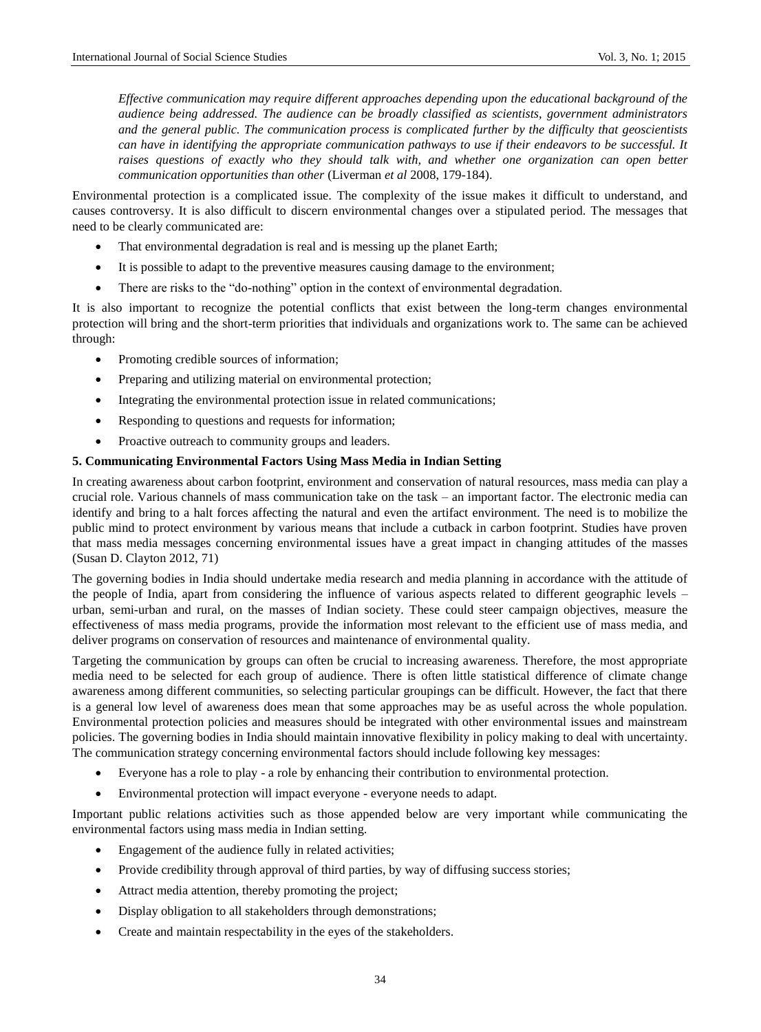*Effective communication may require different approaches depending upon the educational background of the audience being addressed. The audience can be broadly classified as scientists, government administrators and the general public. The communication process is complicated further by the difficulty that geoscientists can have in identifying the appropriate communication pathways to use if their endeavors to be successful. It raises questions of exactly who they should talk with, and whether one organization can open better communication opportunities than other* (Liverman *et al* 2008, 179-184).

Environmental protection is a complicated issue. The complexity of the issue makes it difficult to understand, and causes controversy. It is also difficult to discern environmental changes over a stipulated period. The messages that need to be clearly communicated are:

- That environmental degradation is real and is messing up the planet Earth;
- It is possible to adapt to the preventive measures causing damage to the environment;
- There are risks to the "do-nothing" option in the context of environmental degradation.

It is also important to recognize the potential conflicts that exist between the long-term changes environmental protection will bring and the short-term priorities that individuals and organizations work to. The same can be achieved through:

- Promoting credible sources of information;
- Preparing and utilizing material on environmental protection;
- Integrating the environmental protection issue in related communications;
- Responding to questions and requests for information;
- Proactive outreach to community groups and leaders.

#### **5. Communicating Environmental Factors Using Mass Media in Indian Setting**

In creating awareness about carbon footprint, environment and conservation of natural resources, mass media can play a crucial role. Various channels of mass communication take on the task – an important factor. The electronic media can identify and bring to a halt forces affecting the natural and even the artifact environment. The need is to mobilize the public mind to protect environment by various means that include a cutback in carbon footprint. Studies have proven that mass media messages concerning environmental issues have a great impact in changing attitudes of the masses (Susan D. Clayton 2012, 71)

The governing bodies in India should undertake media research and media planning in accordance with the attitude of the people of India, apart from considering the influence of various aspects related to different geographic levels – urban, semi-urban and rural, on the masses of Indian society. These could steer campaign objectives, measure the effectiveness of mass media programs, provide the information most relevant to the efficient use of mass media, and deliver programs on conservation of resources and maintenance of environmental quality.

Targeting the communication by groups can often be crucial to increasing awareness. Therefore, the most appropriate media need to be selected for each group of audience. There is often little statistical difference of climate change awareness among different communities, so selecting particular groupings can be difficult. However, the fact that there is a general low level of awareness does mean that some approaches may be as useful across the whole population. Environmental protection policies and measures should be integrated with other environmental issues and mainstream policies. The governing bodies in India should maintain innovative flexibility in policy making to deal with uncertainty. The communication strategy concerning environmental factors should include following key messages:

- Everyone has a role to play a role by enhancing their contribution to environmental protection.
- Environmental protection will impact everyone everyone needs to adapt.

Important public relations activities such as those appended below are very important while communicating the environmental factors using mass media in Indian setting.

- Engagement of the audience fully in related activities;
- Provide credibility through approval of third parties, by way of diffusing success stories;
- Attract media attention, thereby promoting the project;
- Display obligation to all stakeholders through demonstrations;
- Create and maintain respectability in the eyes of the stakeholders.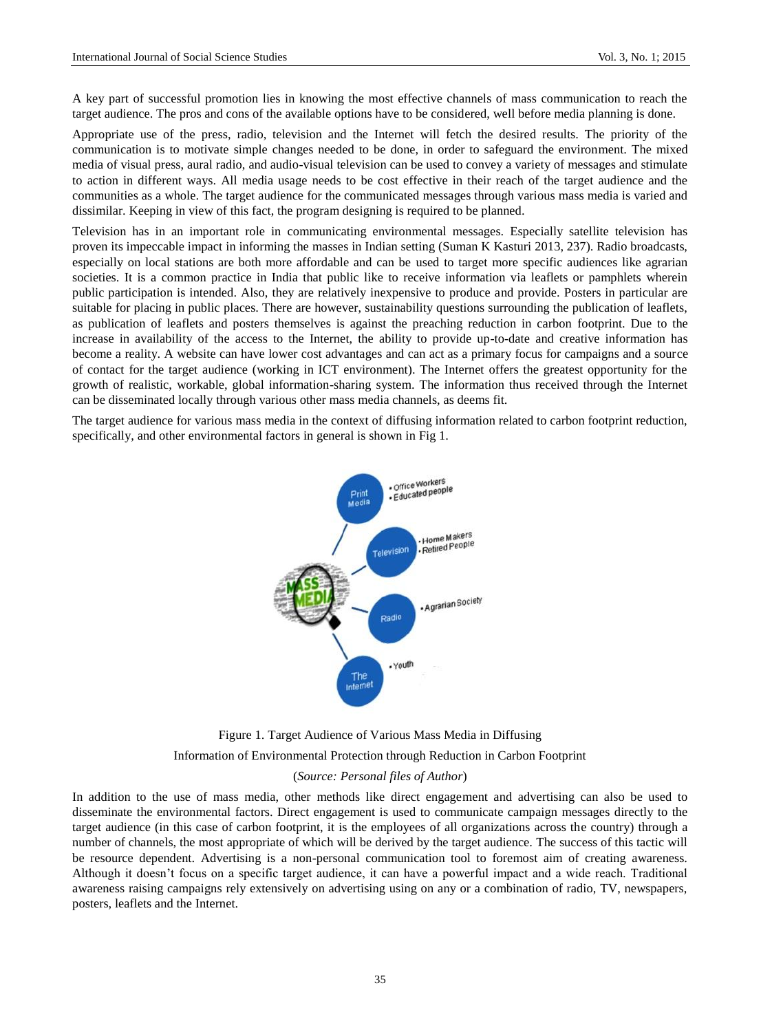A key part of successful promotion lies in knowing the most effective channels of mass communication to reach the target audience. The pros and cons of the available options have to be considered, well before media planning is done.

Appropriate use of the press, radio, television and the Internet will fetch the desired results. The priority of the communication is to motivate simple changes needed to be done, in order to safeguard the environment. The mixed media of visual press, aural radio, and audio-visual television can be used to convey a variety of messages and stimulate to action in different ways. All media usage needs to be cost effective in their reach of the target audience and the communities as a whole. The target audience for the communicated messages through various mass media is varied and dissimilar. Keeping in view of this fact, the program designing is required to be planned.

Television has in an important role in communicating environmental messages. Especially satellite television has proven its impeccable impact in informing the masses in Indian setting (Suman K Kasturi 2013, 237). Radio broadcasts, especially on local stations are both more affordable and can be used to target more specific audiences like agrarian societies. It is a common practice in India that public like to receive information via leaflets or pamphlets wherein public participation is intended. Also, they are relatively inexpensive to produce and provide. Posters in particular are suitable for placing in public places. There are however, sustainability questions surrounding the publication of leaflets, as publication of leaflets and posters themselves is against the preaching reduction in carbon footprint. Due to the increase in availability of the access to the Internet, the ability to provide up-to-date and creative information has become a reality. A website can have lower cost advantages and can act as a primary focus for campaigns and a source of contact for the target audience (working in ICT environment). The Internet offers the greatest opportunity for the growth of realistic, workable, global information-sharing system. The information thus received through the Internet can be disseminated locally through various other mass media channels, as deems fit.

The target audience for various mass media in the context of diffusing information related to carbon footprint reduction, specifically, and other environmental factors in general is shown in Fig 1.



Figure 1. Target Audience of Various Mass Media in Diffusing Information of Environmental Protection through Reduction in Carbon Footprint (*Source: Personal files of Author*)

In addition to the use of mass media, other methods like direct engagement and advertising can also be used to disseminate the environmental factors. Direct engagement is used to communicate campaign messages directly to the target audience (in this case of carbon footprint, it is the employees of all organizations across the country) through a number of channels, the most appropriate of which will be derived by the target audience. The success of this tactic will be resource dependent. Advertising is a non-personal communication tool to foremost aim of creating awareness. Although it doesn"t focus on a specific target audience, it can have a powerful impact and a wide reach. Traditional awareness raising campaigns rely extensively on advertising using on any or a combination of radio, TV, newspapers, posters, leaflets and the Internet.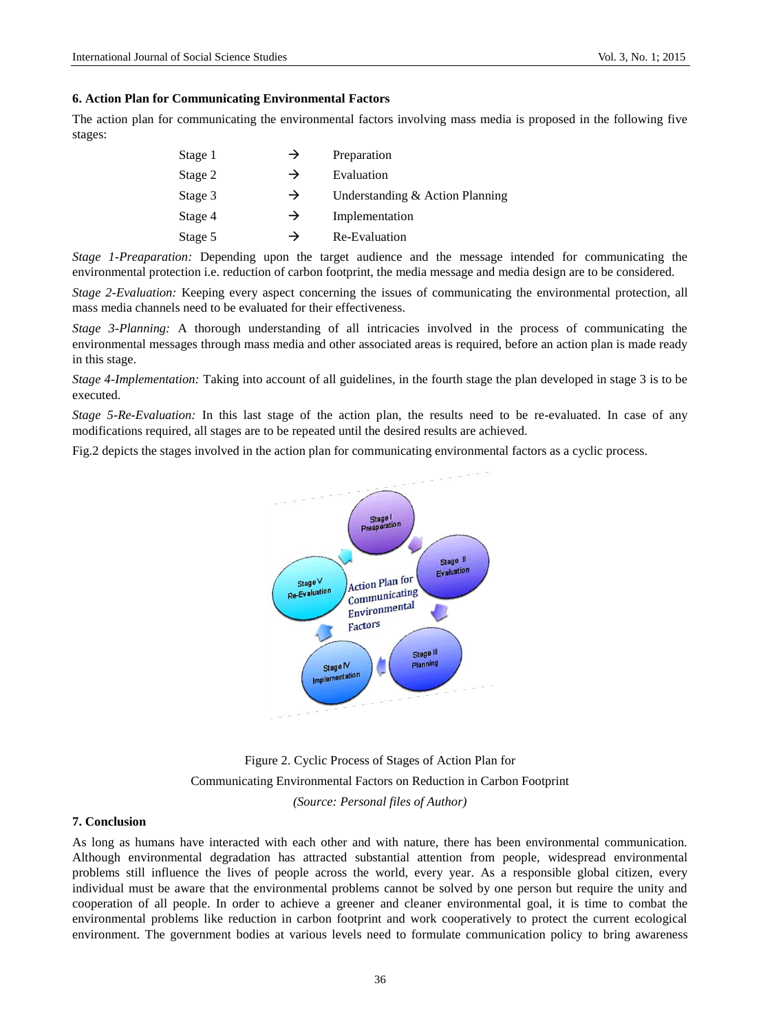#### **6. Action Plan for Communicating Environmental Factors**

The action plan for communicating the environmental factors involving mass media is proposed in the following five stages:

| Stage 1 | →             | Preparation                     |
|---------|---------------|---------------------------------|
| Stage 2 | $\rightarrow$ | Evaluation                      |
| Stage 3 | $\rightarrow$ | Understanding & Action Planning |
| Stage 4 | $\rightarrow$ | Implementation                  |
| Stage 5 | →             | Re-Evaluation                   |

*Stage 1-Preaparation:* Depending upon the target audience and the message intended for communicating the environmental protection i.e. reduction of carbon footprint, the media message and media design are to be considered.

*Stage 2-Evaluation:* Keeping every aspect concerning the issues of communicating the environmental protection, all mass media channels need to be evaluated for their effectiveness.

*Stage 3-Planning:* A thorough understanding of all intricacies involved in the process of communicating the environmental messages through mass media and other associated areas is required, before an action plan is made ready in this stage.

*Stage 4-Implementation:* Taking into account of all guidelines, in the fourth stage the plan developed in stage 3 is to be executed.

*Stage 5-Re-Evaluation:* In this last stage of the action plan, the results need to be re-evaluated. In case of any modifications required, all stages are to be repeated until the desired results are achieved.

Fig.2 depicts the stages involved in the action plan for communicating environmental factors as a cyclic process.



Figure 2. Cyclic Process of Stages of Action Plan for Communicating Environmental Factors on Reduction in Carbon Footprint *(Source: Personal files of Author)*

## **7. Conclusion**

As long as humans have interacted with each other and with nature, there has been environmental communication. Although environmental degradation has attracted substantial attention from people, widespread environmental problems still influence the lives of people across the world, every year. As a responsible global citizen, every individual must be aware that the environmental problems cannot be solved by one person but require the unity and cooperation of all people. In order to achieve a greener and cleaner environmental goal, it is time to combat the environmental problems like reduction in carbon footprint and work cooperatively to protect the current ecological environment. The government bodies at various levels need to formulate communication policy to bring awareness